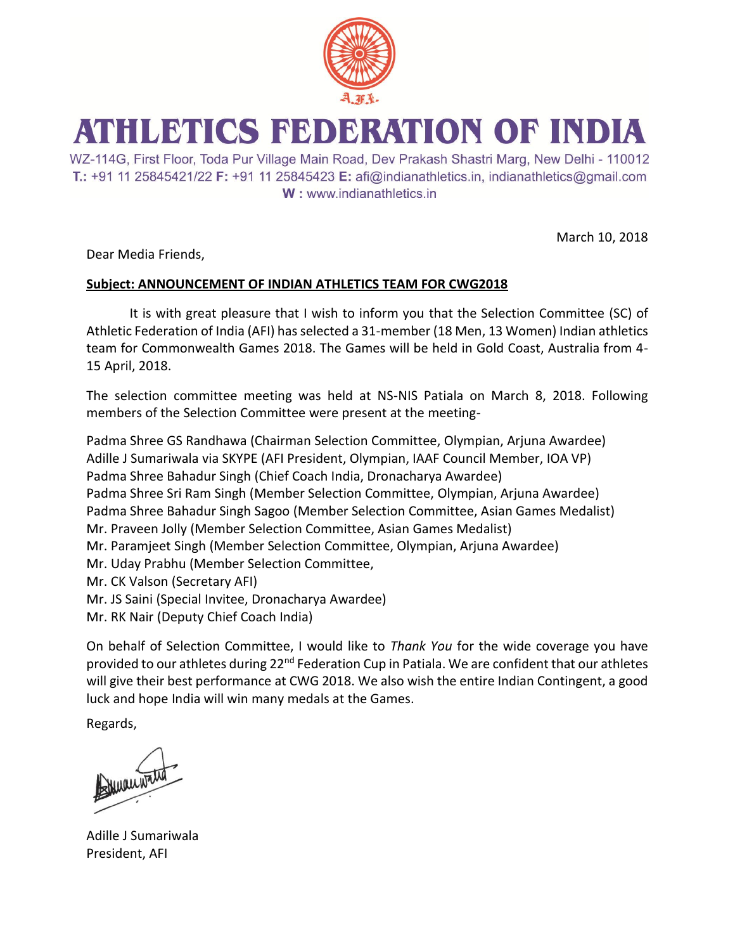

## ATHLETICS FEDERATION OF INDIA

WZ-114G, First Floor, Toda Pur Village Main Road, Dev Prakash Shastri Marg, New Delhi - 110012 T.: +91 11 25845421/22 F: +91 11 25845423 E: afi@indianathletics.in, indianathletics@gmail.com W: www.indianathletics.in

March 10, 2018

Dear Media Friends,

## **Subject: ANNOUNCEMENT OF INDIAN ATHLETICS TEAM FOR CWG2018**

It is with great pleasure that I wish to inform you that the Selection Committee (SC) of Athletic Federation of India (AFI) has selected a 31-member (18 Men, 13 Women) Indian athletics team for Commonwealth Games 2018. The Games will be held in Gold Coast, Australia from 4- 15 April, 2018.

The selection committee meeting was held at NS-NIS Patiala on March 8, 2018. Following members of the Selection Committee were present at the meeting-

Padma Shree GS Randhawa (Chairman Selection Committee, Olympian, Arjuna Awardee) Adille J Sumariwala via SKYPE (AFI President, Olympian, IAAF Council Member, IOA VP) Padma Shree Bahadur Singh (Chief Coach India, Dronacharya Awardee) Padma Shree Sri Ram Singh (Member Selection Committee, Olympian, Arjuna Awardee) Padma Shree Bahadur Singh Sagoo (Member Selection Committee, Asian Games Medalist) Mr. Praveen Jolly (Member Selection Committee, Asian Games Medalist) Mr. Paramjeet Singh (Member Selection Committee, Olympian, Arjuna Awardee) Mr. Uday Prabhu (Member Selection Committee, Mr. CK Valson (Secretary AFI) Mr. JS Saini (Special Invitee, Dronacharya Awardee) Mr. RK Nair (Deputy Chief Coach India)

On behalf of Selection Committee, I would like to *Thank You* for the wide coverage you have provided to our athletes during 22<sup>nd</sup> Federation Cup in Patiala. We are confident that our athletes will give their best performance at CWG 2018. We also wish the entire Indian Contingent, a good luck and hope India will win many medals at the Games.

Regards,

Muanwate

Adille J Sumariwala President, AFI